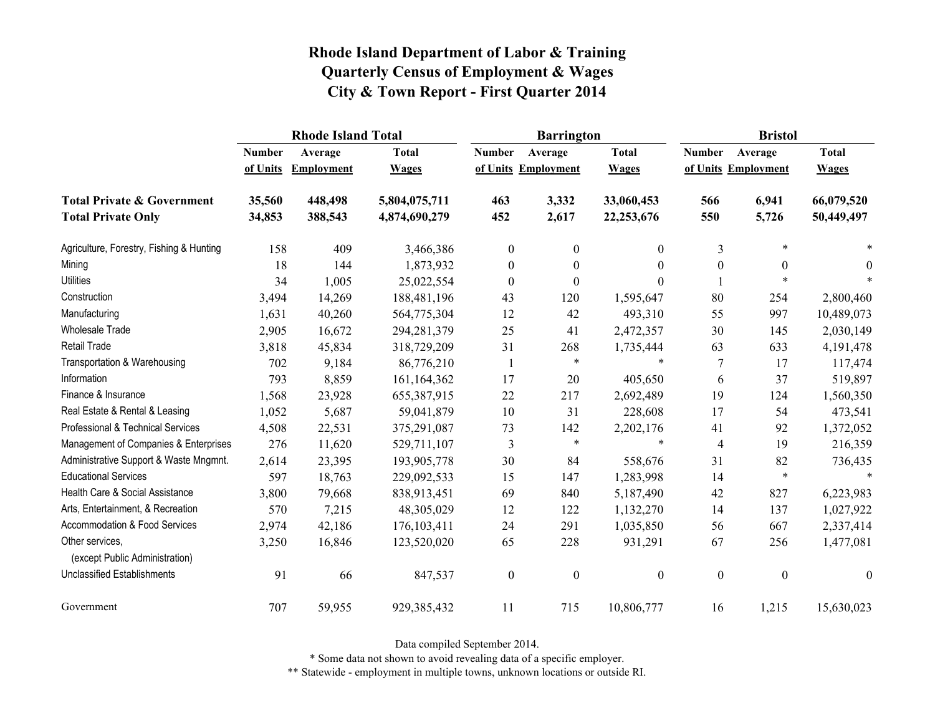|                                                   |               | <b>Rhode Island Total</b> |               |                  | <b>Barrington</b>   |                  | <b>Bristol</b>   |                     |                  |
|---------------------------------------------------|---------------|---------------------------|---------------|------------------|---------------------|------------------|------------------|---------------------|------------------|
|                                                   | <b>Number</b> | Average                   | <b>Total</b>  | <b>Number</b>    | Average             | <b>Total</b>     | <b>Number</b>    | Average             | <b>Total</b>     |
|                                                   | of Units      | <b>Employment</b>         | <b>Wages</b>  |                  | of Units Employment | <b>Wages</b>     |                  | of Units Employment | <b>Wages</b>     |
| <b>Total Private &amp; Government</b>             | 35,560        | 448,498                   | 5,804,075,711 | 463              | 3,332               | 33,060,453       | 566              | 6,941               | 66,079,520       |
| <b>Total Private Only</b>                         | 34,853        | 388,543                   | 4,874,690,279 | 452              | 2,617               | 22,253,676       | 550              | 5,726               | 50,449,497       |
| Agriculture, Forestry, Fishing & Hunting          | 158           | 409                       | 3,466,386     | $\boldsymbol{0}$ | $\mathbf{0}$        | $\overline{0}$   | 3                | $\ast$              |                  |
| Mining                                            | 18            | 144                       | 1,873,932     | $\boldsymbol{0}$ | $\theta$            | $\theta$         | $\boldsymbol{0}$ | $\boldsymbol{0}$    | $\theta$         |
| <b>Utilities</b>                                  | 34            | 1,005                     | 25,022,554    | $\boldsymbol{0}$ | $\theta$            | $\Omega$         |                  | $\ast$              |                  |
| Construction                                      | 3,494         | 14,269                    | 188,481,196   | 43               | 120                 | 1,595,647        | 80               | 254                 | 2,800,460        |
| Manufacturing                                     | 1,631         | 40,260                    | 564,775,304   | 12               | 42                  | 493,310          | 55               | 997                 | 10,489,073       |
| Wholesale Trade                                   | 2,905         | 16,672                    | 294, 281, 379 | 25               | 41                  | 2,472,357        | 30               | 145                 | 2,030,149        |
| <b>Retail Trade</b>                               | 3,818         | 45,834                    | 318,729,209   | 31               | 268                 | 1,735,444        | 63               | 633                 | 4, 191, 478      |
| Transportation & Warehousing                      | 702           | 9,184                     | 86,776,210    | -1               | $\ast$              | $\ast$           | $\tau$           | 17                  | 117,474          |
| Information                                       | 793           | 8,859                     | 161, 164, 362 | 17               | 20                  | 405,650          | 6                | 37                  | 519,897          |
| Finance & Insurance                               | 1,568         | 23,928                    | 655,387,915   | 22               | 217                 | 2,692,489        | 19               | 124                 | 1,560,350        |
| Real Estate & Rental & Leasing                    | 1,052         | 5,687                     | 59,041,879    | 10               | 31                  | 228,608          | 17               | 54                  | 473,541          |
| Professional & Technical Services                 | 4,508         | 22,531                    | 375,291,087   | 73               | 142                 | 2,202,176        | 41               | 92                  | 1,372,052        |
| Management of Companies & Enterprises             | 276           | 11,620                    | 529,711,107   | 3                | $\ast$              | $\ast$           | 4                | 19                  | 216,359          |
| Administrative Support & Waste Mngmnt.            | 2,614         | 23,395                    | 193,905,778   | 30               | 84                  | 558,676          | 31               | 82                  | 736,435          |
| <b>Educational Services</b>                       | 597           | 18,763                    | 229,092,533   | 15               | 147                 | 1,283,998        | 14               | $\ast$              |                  |
| Health Care & Social Assistance                   | 3,800         | 79,668                    | 838,913,451   | 69               | 840                 | 5,187,490        | 42               | 827                 | 6,223,983        |
| Arts, Entertainment, & Recreation                 | 570           | 7,215                     | 48,305,029    | 12               | 122                 | 1,132,270        | 14               | 137                 | 1,027,922        |
| Accommodation & Food Services                     | 2,974         | 42,186                    | 176, 103, 411 | 24               | 291                 | 1,035,850        | 56               | 667                 | 2,337,414        |
| Other services,<br>(except Public Administration) | 3,250         | 16,846                    | 123,520,020   | 65               | 228                 | 931,291          | 67               | 256                 | 1,477,081        |
| <b>Unclassified Establishments</b>                | 91            | 66                        | 847,537       | $\boldsymbol{0}$ | $\boldsymbol{0}$    | $\boldsymbol{0}$ | $\boldsymbol{0}$ | $\boldsymbol{0}$    | $\boldsymbol{0}$ |
| Government                                        | 707           | 59,955                    | 929,385,432   | 11               | 715                 | 10,806,777       | 16               | 1,215               | 15,630,023       |

Data compiled September 2014.

\* Some data not shown to avoid revealing data of a specific employer.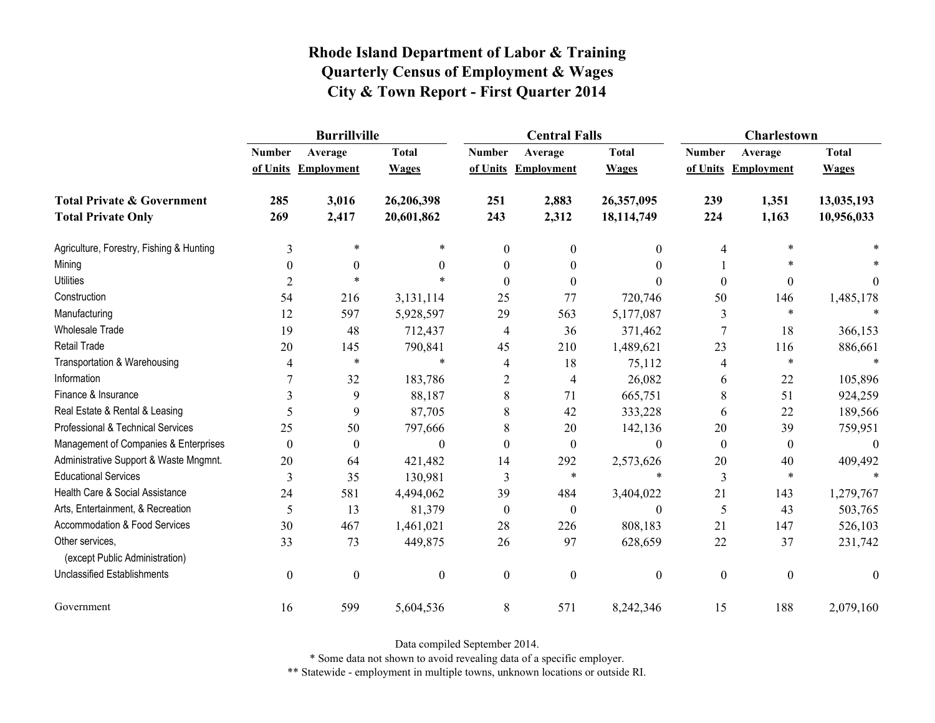|                                                   | <b>Burrillville</b> |                     |                  |                  | <b>Central Falls</b> |                  | Charlestown      |                     |                |
|---------------------------------------------------|---------------------|---------------------|------------------|------------------|----------------------|------------------|------------------|---------------------|----------------|
|                                                   | <b>Number</b>       | Average             | <b>Total</b>     | <b>Number</b>    | Average              | <b>Total</b>     | <b>Number</b>    | Average             | <b>Total</b>   |
|                                                   |                     | of Units Employment | <b>Wages</b>     |                  | of Units Employment  | <b>Wages</b>     |                  | of Units Employment | <b>Wages</b>   |
| <b>Total Private &amp; Government</b>             | 285                 | 3,016               | 26,206,398       | 251              | 2,883                | 26,357,095       | 239              | 1,351               | 13,035,193     |
| <b>Total Private Only</b>                         | 269                 | 2,417               | 20,601,862       | 243              | 2,312                | 18,114,749       | 224              | 1,163               | 10,956,033     |
| Agriculture, Forestry, Fishing & Hunting          | 3                   | $\ast$              | *                | $\mathbf{0}$     | $\theta$             | $\mathbf{0}$     | 4                | $\ast$              |                |
| Mining                                            | $\theta$            | $\theta$            | $\theta$         | 0                | $\theta$             | $\theta$         |                  | $\ast$              |                |
| <b>Utilities</b>                                  | $\overline{2}$      | $\ast$              | $\ast$           | $\theta$         | $\Omega$             | $\theta$         | $\boldsymbol{0}$ | $\boldsymbol{0}$    | $\overline{0}$ |
| Construction                                      | 54                  | 216                 | 3,131,114        | 25               | 77                   | 720,746          | 50               | 146                 | 1,485,178      |
| Manufacturing                                     | 12                  | 597                 | 5,928,597        | 29               | 563                  | 5,177,087        | 3                | $\ast$              |                |
| Wholesale Trade                                   | 19                  | 48                  | 712,437          | 4                | 36                   | 371,462          | $\sqrt{ }$       | 18                  | 366,153        |
| <b>Retail Trade</b>                               | 20                  | 145                 | 790,841          | 45               | 210                  | 1,489,621        | 23               | 116                 | 886,661        |
| Transportation & Warehousing                      | 4                   | $\ast$              | $\ast$           | 4                | 18                   | 75,112           | 4                | $\ast$              |                |
| Information                                       |                     | 32                  | 183,786          | $\overline{2}$   | $\overline{4}$       | 26,082           | 6                | 22                  | 105,896        |
| Finance & Insurance                               | 3                   | 9                   | 88,187           | 8                | 71                   | 665,751          | 8                | 51                  | 924,259        |
| Real Estate & Rental & Leasing                    | 5                   | 9                   | 87,705           | 8                | 42                   | 333,228          | 6                | 22                  | 189,566        |
| Professional & Technical Services                 | 25                  | 50                  | 797,666          | $\,8\,$          | 20                   | 142,136          | 20               | 39                  | 759,951        |
| Management of Companies & Enterprises             | $\theta$            | $\boldsymbol{0}$    | $\Omega$         | $\Omega$         | $\theta$             | $\theta$         | $\boldsymbol{0}$ | $\mathbf{0}$        | $\theta$       |
| Administrative Support & Waste Mngmnt.            | 20                  | 64                  | 421,482          | 14               | 292                  | 2,573,626        | 20               | 40                  | 409,492        |
| <b>Educational Services</b>                       | 3                   | 35                  | 130,981          | 3                | *                    | *                | 3                | $\ast$              |                |
| Health Care & Social Assistance                   | 24                  | 581                 | 4,494,062        | 39               | 484                  | 3,404,022        | 21               | 143                 | 1,279,767      |
| Arts, Entertainment, & Recreation                 | 5                   | 13                  | 81,379           | $\boldsymbol{0}$ | $\boldsymbol{0}$     | $\boldsymbol{0}$ | 5                | 43                  | 503,765        |
| Accommodation & Food Services                     | 30                  | 467                 | 1,461,021        | 28               | 226                  | 808,183          | 21               | 147                 | 526,103        |
| Other services,<br>(except Public Administration) | 33                  | 73                  | 449,875          | 26               | 97                   | 628,659          | 22               | 37                  | 231,742        |
| <b>Unclassified Establishments</b>                | $\boldsymbol{0}$    | $\boldsymbol{0}$    | $\boldsymbol{0}$ | $\boldsymbol{0}$ | $\mathbf{0}$         | $\boldsymbol{0}$ | $\boldsymbol{0}$ | $\boldsymbol{0}$    | $\mathbf{0}$   |
| Government                                        | 16                  | 599                 | 5,604,536        | $\,8\,$          | 571                  | 8,242,346        | 15               | 188                 | 2,079,160      |

Data compiled September 2014.

\* Some data not shown to avoid revealing data of a specific employer.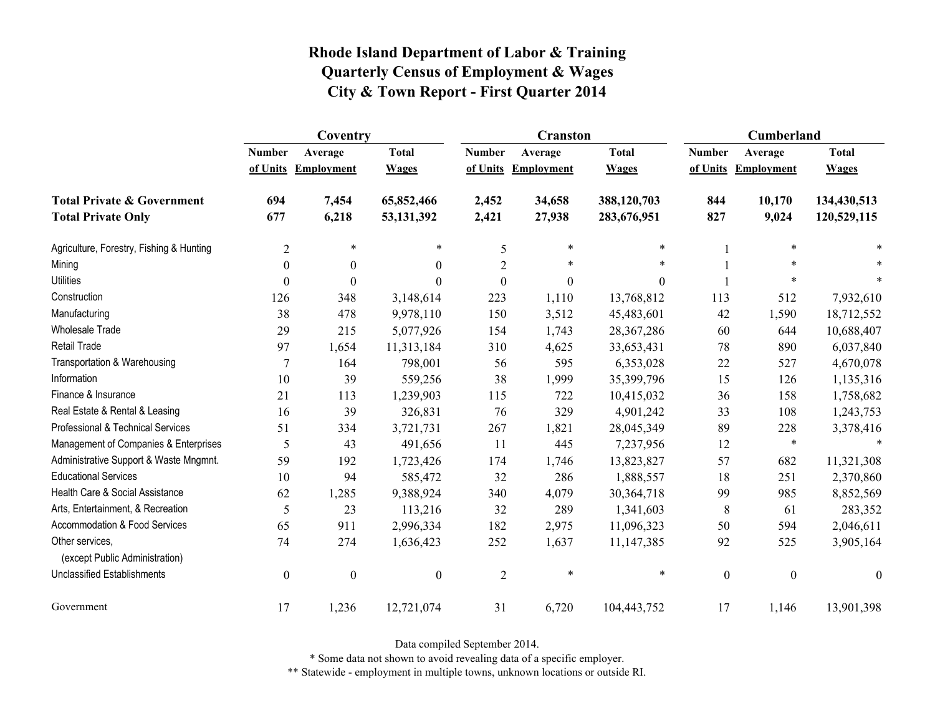|                                                   | Coventry         |                     |                  |                  | <b>Cranston</b>     |                  | Cumberland       |                     |              |
|---------------------------------------------------|------------------|---------------------|------------------|------------------|---------------------|------------------|------------------|---------------------|--------------|
|                                                   | <b>Number</b>    | Average             | <b>Total</b>     | <b>Number</b>    | Average             | <b>Total</b>     | <b>Number</b>    | Average             | <b>Total</b> |
|                                                   |                  | of Units Employment | <b>Wages</b>     |                  | of Units Employment | <b>Wages</b>     |                  | of Units Employment | <b>Wages</b> |
| <b>Total Private &amp; Government</b>             | 694              | 7,454               | 65,852,466       | 2,452            | 34,658              | 388,120,703      | 844              | 10,170              | 134,430,513  |
| <b>Total Private Only</b>                         | 677              | 6,218               | 53, 131, 392     | 2,421            | 27,938              | 283,676,951      | 827              | 9,024               | 120,529,115  |
| Agriculture, Forestry, Fishing & Hunting          | $\overline{c}$   | $\ast$              | $\ast$           | 5                | $\ast$              | $\ast$           |                  | $\ast$              |              |
| Mining                                            | $\theta$         | $\boldsymbol{0}$    | $\theta$         | $\overline{2}$   | $\ast$              | *                |                  | $\ast$              |              |
| <b>Utilities</b>                                  | $\theta$         | $\boldsymbol{0}$    | $\theta$         | $\boldsymbol{0}$ | $\boldsymbol{0}$    | $\boldsymbol{0}$ |                  | $\ast$              |              |
| Construction                                      | 126              | 348                 | 3,148,614        | 223              | 1,110               | 13,768,812       | 113              | 512                 | 7,932,610    |
| Manufacturing                                     | 38               | 478                 | 9,978,110        | 150              | 3,512               | 45,483,601       | 42               | 1,590               | 18,712,552   |
| Wholesale Trade                                   | 29               | 215                 | 5,077,926        | 154              | 1,743               | 28,367,286       | 60               | 644                 | 10,688,407   |
| <b>Retail Trade</b>                               | 97               | 1,654               | 11,313,184       | 310              | 4,625               | 33,653,431       | 78               | 890                 | 6,037,840    |
| Transportation & Warehousing                      | 7                | 164                 | 798,001          | 56               | 595                 | 6,353,028        | 22               | 527                 | 4,670,078    |
| Information                                       | 10               | 39                  | 559,256          | 38               | 1,999               | 35,399,796       | 15               | 126                 | 1,135,316    |
| Finance & Insurance                               | 21               | 113                 | 1,239,903        | 115              | 722                 | 10,415,032       | 36               | 158                 | 1,758,682    |
| Real Estate & Rental & Leasing                    | 16               | 39                  | 326,831          | 76               | 329                 | 4,901,242        | 33               | 108                 | 1,243,753    |
| Professional & Technical Services                 | 51               | 334                 | 3,721,731        | 267              | 1,821               | 28,045,349       | 89               | 228                 | 3,378,416    |
| Management of Companies & Enterprises             | 5                | 43                  | 491,656          | 11               | 445                 | 7,237,956        | 12               | $\ast$              | $\ast$       |
| Administrative Support & Waste Mngmnt.            | 59               | 192                 | 1,723,426        | 174              | 1,746               | 13,823,827       | 57               | 682                 | 11,321,308   |
| <b>Educational Services</b>                       | 10               | 94                  | 585,472          | 32               | 286                 | 1,888,557        | 18               | 251                 | 2,370,860    |
| Health Care & Social Assistance                   | 62               | 1,285               | 9,388,924        | 340              | 4,079               | 30,364,718       | 99               | 985                 | 8,852,569    |
| Arts, Entertainment, & Recreation                 | 5                | 23                  | 113,216          | 32               | 289                 | 1,341,603        | 8                | 61                  | 283,352      |
| <b>Accommodation &amp; Food Services</b>          | 65               | 911                 | 2,996,334        | 182              | 2,975               | 11,096,323       | 50               | 594                 | 2,046,611    |
| Other services,<br>(except Public Administration) | 74               | 274                 | 1,636,423        | 252              | 1,637               | 11,147,385       | 92               | 525                 | 3,905,164    |
| <b>Unclassified Establishments</b>                | $\boldsymbol{0}$ | $\boldsymbol{0}$    | $\boldsymbol{0}$ | $\overline{2}$   | $\ast$              | *                | $\boldsymbol{0}$ | $\boldsymbol{0}$    | $\mathbf{0}$ |
| Government                                        | 17               | 1,236               | 12,721,074       | 31               | 6,720               | 104,443,752      | 17               | 1,146               | 13,901,398   |

Data compiled September 2014.

\* Some data not shown to avoid revealing data of a specific employer.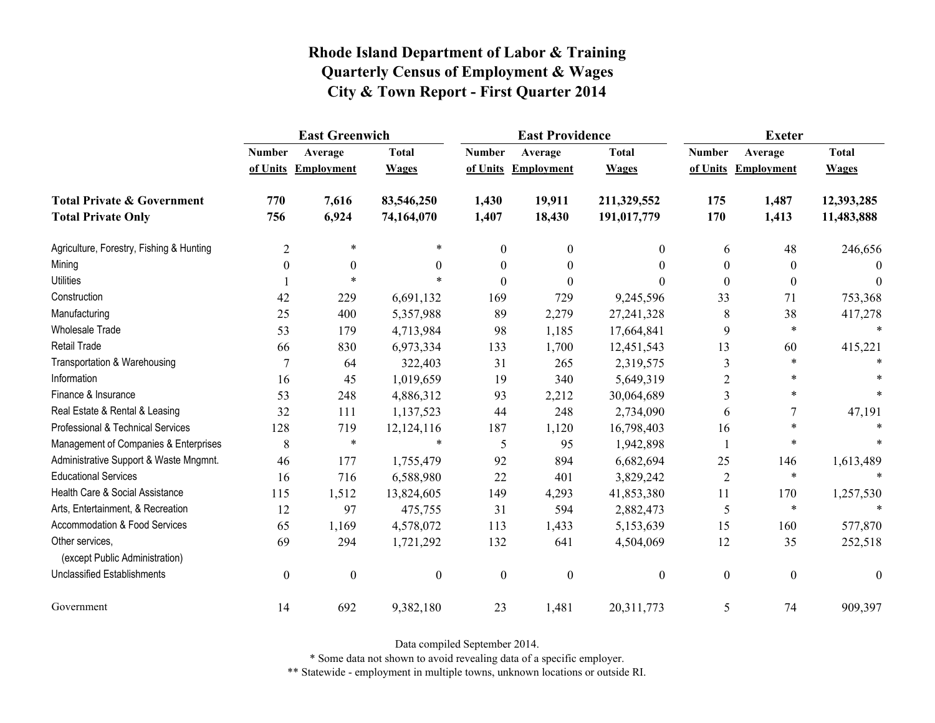|                                                   | <b>East Greenwich</b> |                     |                  |                  | <b>East Providence</b> |                  | <b>Exeter</b>    |                     |              |
|---------------------------------------------------|-----------------------|---------------------|------------------|------------------|------------------------|------------------|------------------|---------------------|--------------|
|                                                   | <b>Number</b>         | Average             | <b>Total</b>     | <b>Number</b>    | Average                | <b>Total</b>     | <b>Number</b>    | Average             | <b>Total</b> |
|                                                   |                       | of Units Employment | <b>Wages</b>     |                  | of Units Employment    | <b>Wages</b>     |                  | of Units Employment | <b>Wages</b> |
| <b>Total Private &amp; Government</b>             | 770                   | 7,616               | 83,546,250       | 1,430            | 19,911                 | 211,329,552      | 175              | 1,487               | 12,393,285   |
| <b>Total Private Only</b>                         | 756                   | 6,924               | 74,164,070       | 1,407            | 18,430                 | 191,017,779      | 170              | 1,413               | 11,483,888   |
| Agriculture, Forestry, Fishing & Hunting          | $\overline{2}$        | $\ast$              | *                | $\mathbf{0}$     | $\mathbf{0}$           | $\theta$         | 6                | 48                  | 246,656      |
| Mining                                            | $\theta$              | $\theta$            | $\Omega$         | 0                | $\theta$               | 0                | $\theta$         | $\bf{0}$            | $\Omega$     |
| <b>Utilities</b>                                  |                       | $\ast$              |                  | $\theta$         | $\theta$               | 0                | $\boldsymbol{0}$ | $\theta$            | $\theta$     |
| Construction                                      | 42                    | 229                 | 6,691,132        | 169              | 729                    | 9,245,596        | 33               | 71                  | 753,368      |
| Manufacturing                                     | 25                    | 400                 | 5,357,988        | 89               | 2,279                  | 27,241,328       | 8                | 38                  | 417,278      |
| <b>Wholesale Trade</b>                            | 53                    | 179                 | 4,713,984        | 98               | 1,185                  | 17,664,841       | 9                | $\ast$              | $\ast$       |
| <b>Retail Trade</b>                               | 66                    | 830                 | 6,973,334        | 133              | 1,700                  | 12,451,543       | 13               | 60                  | 415,221      |
| Transportation & Warehousing                      | $\overline{7}$        | 64                  | 322,403          | 31               | 265                    | 2,319,575        | 3                | $\ast$              |              |
| Information                                       | 16                    | 45                  | 1,019,659        | 19               | 340                    | 5,649,319        | 2                |                     |              |
| Finance & Insurance                               | 53                    | 248                 | 4,886,312        | 93               | 2,212                  | 30,064,689       | 3                | *                   |              |
| Real Estate & Rental & Leasing                    | 32                    | 111                 | 1,137,523        | 44               | 248                    | 2,734,090        | 6                |                     | 47,191       |
| Professional & Technical Services                 | 128                   | 719                 | 12,124,116       | 187              | 1,120                  | 16,798,403       | 16               | $\ast$              |              |
| Management of Companies & Enterprises             | 8                     | $\ast$              | $\ast$           | 5                | 95                     | 1,942,898        |                  | $\ast$              |              |
| Administrative Support & Waste Mngmnt.            | 46                    | 177                 | 1,755,479        | 92               | 894                    | 6,682,694        | 25               | 146                 | 1,613,489    |
| <b>Educational Services</b>                       | 16                    | 716                 | 6,588,980        | 22               | 401                    | 3,829,242        | $\overline{2}$   | $\ast$              |              |
| Health Care & Social Assistance                   | 115                   | 1,512               | 13,824,605       | 149              | 4,293                  | 41,853,380       | 11               | 170                 | 1,257,530    |
| Arts, Entertainment, & Recreation                 | 12                    | 97                  | 475,755          | 31               | 594                    | 2,882,473        | 5                | $\ast$              | $\ast$       |
| Accommodation & Food Services                     | 65                    | 1,169               | 4,578,072        | 113              | 1,433                  | 5,153,639        | 15               | 160                 | 577,870      |
| Other services,<br>(except Public Administration) | 69                    | 294                 | 1,721,292        | 132              | 641                    | 4,504,069        | 12               | 35                  | 252,518      |
| <b>Unclassified Establishments</b>                | $\boldsymbol{0}$      | $\boldsymbol{0}$    | $\boldsymbol{0}$ | $\boldsymbol{0}$ | $\boldsymbol{0}$       | $\boldsymbol{0}$ | $\boldsymbol{0}$ | $\boldsymbol{0}$    | $\theta$     |
| Government                                        | 14                    | 692                 | 9,382,180        | 23               | 1,481                  | 20,311,773       | 5                | 74                  | 909,397      |

Data compiled September 2014.

\* Some data not shown to avoid revealing data of a specific employer.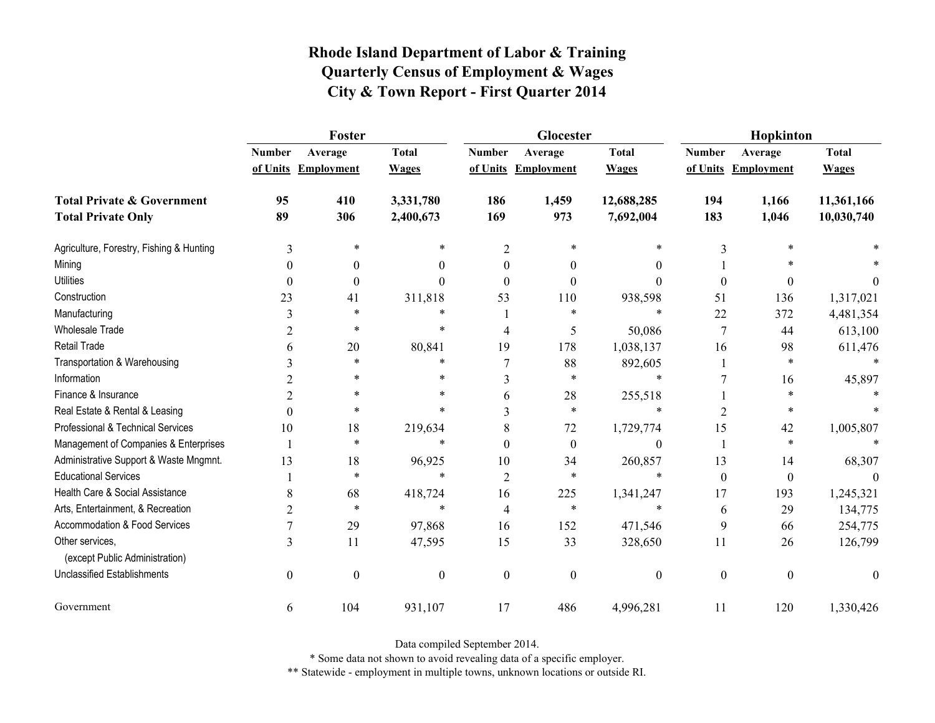|                                                   | Foster           |                     |                  |                | Glocester           |                  | Hopkinton        |                     |              |
|---------------------------------------------------|------------------|---------------------|------------------|----------------|---------------------|------------------|------------------|---------------------|--------------|
|                                                   | <b>Number</b>    | Average             | <b>Total</b>     | <b>Number</b>  | Average             | <b>Total</b>     | <b>Number</b>    | Average             | <b>Total</b> |
|                                                   |                  | of Units Employment | <b>Wages</b>     |                | of Units Employment | <b>Wages</b>     |                  | of Units Employment | <b>Wages</b> |
| <b>Total Private &amp; Government</b>             | 95               | 410                 | 3,331,780        | 186            | 1,459               | 12,688,285       | 194              | 1,166               | 11,361,166   |
| <b>Total Private Only</b>                         | 89               | 306                 | 2,400,673        | 169            | 973                 | 7,692,004        | 183              | 1,046               | 10,030,740   |
| Agriculture, Forestry, Fishing & Hunting          | 3                | $\ast$              | *                | $\overline{2}$ | $\ast$              | *                | 3                |                     |              |
| Mining                                            | $\theta$         | $\boldsymbol{0}$    | $\theta$         | $\theta$       | $\theta$            | $\theta$         |                  |                     |              |
| <b>Utilities</b>                                  | $\theta$         | $\boldsymbol{0}$    | $\Omega$         | $\theta$       | $\theta$            | $\theta$         | $\boldsymbol{0}$ | 0                   | $\theta$     |
| Construction                                      | 23               | 41                  | 311,818          | 53             | 110                 | 938,598          | 51               | 136                 | 1,317,021    |
| Manufacturing                                     | 3                | *                   | *                |                | $\ast$              | $\ast$           | 22               | 372                 | 4,481,354    |
| Wholesale Trade                                   | 2                | *                   | $\ast$           | 4              | 5                   | 50,086           | $\boldsymbol{7}$ | 44                  | 613,100      |
| <b>Retail Trade</b>                               | 6                | 20                  | 80,841           | 19             | 178                 | 1,038,137        | 16               | 98                  | 611,476      |
| Transportation & Warehousing                      | 3                | $\ast$              | *                | $\overline{7}$ | 88                  | 892,605          |                  | $\ast$              |              |
| Information                                       | 2                | $\ast$              | $\ast$           | 3              | $\ast$              | $\ast$           |                  | 16                  | 45,897       |
| Finance & Insurance                               | 2                | *                   | *                | 6              | 28                  | 255,518          |                  | $\ast$              |              |
| Real Estate & Rental & Leasing                    | $\theta$         | $\ast$              | $\ast$           | 3              | $\ast$              | $\ast$           | 2                | $\ast$              |              |
| Professional & Technical Services                 | 10               | 18                  | 219,634          | 8              | 72                  | 1,729,774        | 15               | 42                  | 1,005,807    |
| Management of Companies & Enterprises             | 1                | *                   | *                | $\Omega$       | $\theta$            | $\boldsymbol{0}$ |                  | $\ast$              |              |
| Administrative Support & Waste Mngmnt.            | 13               | 18                  | 96,925           | 10             | 34                  | 260,857          | 13               | 14                  | 68,307       |
| <b>Educational Services</b>                       |                  | $\ast$              | $\ast$           | $\overline{2}$ | *                   | $\ast$           | $\mathbf{0}$     | $\boldsymbol{0}$    |              |
| Health Care & Social Assistance                   | 8                | 68                  | 418,724          | 16             | 225                 | 1,341,247        | 17               | 193                 | 1,245,321    |
| Arts, Entertainment, & Recreation                 | $\overline{c}$   | $\ast$              | $\ast$           | 4              | $\ast$              | $\ast$           | 6                | 29                  | 134,775      |
| Accommodation & Food Services                     |                  | 29                  | 97,868           | 16             | 152                 | 471,546          | 9                | 66                  | 254,775      |
| Other services,<br>(except Public Administration) | 3                | 11                  | 47,595           | 15             | 33                  | 328,650          | 11               | 26                  | 126,799      |
| <b>Unclassified Establishments</b>                | $\boldsymbol{0}$ | $\boldsymbol{0}$    | $\boldsymbol{0}$ | $\mathbf{0}$   | $\mathbf{0}$        | $\boldsymbol{0}$ | $\boldsymbol{0}$ | $\boldsymbol{0}$    | $\mathbf{0}$ |
| Government                                        | 6                | 104                 | 931,107          | 17             | 486                 | 4,996,281        | 11               | 120                 | 1,330,426    |

Data compiled September 2014.

\* Some data not shown to avoid revealing data of a specific employer.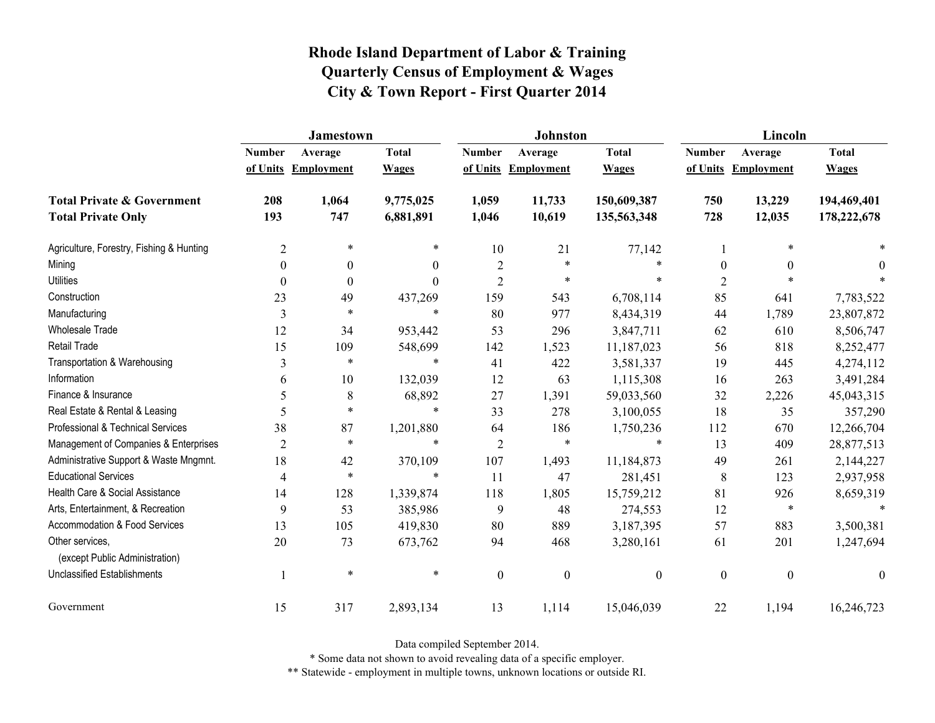|                                                   | <b>Jamestown</b> |                     |                  |                  | <b>Johnston</b>   |                  | Lincoln          |                     |                  |
|---------------------------------------------------|------------------|---------------------|------------------|------------------|-------------------|------------------|------------------|---------------------|------------------|
|                                                   | <b>Number</b>    | Average             | <b>Total</b>     | <b>Number</b>    | Average           | <b>Total</b>     | <b>Number</b>    | Average             | <b>Total</b>     |
|                                                   |                  | of Units Employment | <b>Wages</b>     | of Units         | <b>Employment</b> | <b>Wages</b>     |                  | of Units Employment | <b>Wages</b>     |
| <b>Total Private &amp; Government</b>             | 208              | 1,064               | 9,775,025        | 1,059            | 11,733            | 150,609,387      | 750              | 13,229              | 194,469,401      |
| <b>Total Private Only</b>                         | 193              | 747                 | 6,881,891        | 1,046            | 10,619            | 135,563,348      | 728              | 12,035              | 178,222,678      |
| Agriculture, Forestry, Fishing & Hunting          | $\overline{2}$   | $\ast$              | $\ast$           | 10               | 21                | 77,142           |                  | *                   |                  |
| Mining                                            | $\Omega$         | $\mathbf{0}$        | $\boldsymbol{0}$ | $\overline{2}$   | $\ast$            | $\ast$           | $\boldsymbol{0}$ | $\mathbf{0}$        | 0                |
| <b>Utilities</b>                                  | $\theta$         | $\theta$            | $\theta$         | $\overline{2}$   | $\ast$            | *                | $\overline{2}$   |                     |                  |
| Construction                                      | 23               | 49                  | 437,269          | 159              | 543               | 6,708,114        | 85               | 641                 | 7,783,522        |
| Manufacturing                                     | 3                | $\ast$              | $\ast$           | 80               | 977               | 8,434,319        | 44               | 1,789               | 23,807,872       |
| <b>Wholesale Trade</b>                            | 12               | 34                  | 953,442          | 53               | 296               | 3,847,711        | 62               | 610                 | 8,506,747        |
| Retail Trade                                      | 15               | 109                 | 548,699          | 142              | 1,523             | 11,187,023       | 56               | 818                 | 8,252,477        |
| Transportation & Warehousing                      | $\overline{3}$   | $\ast$              | $\ast$           | 41               | 422               | 3,581,337        | 19               | 445                 | 4,274,112        |
| Information                                       | 6                | 10                  | 132,039          | 12               | 63                | 1,115,308        | 16               | 263                 | 3,491,284        |
| Finance & Insurance                               | 5                | 8                   | 68,892           | 27               | 1,391             | 59,033,560       | 32               | 2,226               | 45,043,315       |
| Real Estate & Rental & Leasing                    | 5                | $\ast$              | $\ast$           | 33               | 278               | 3,100,055        | 18               | 35                  | 357,290          |
| Professional & Technical Services                 | 38               | 87                  | 1,201,880        | 64               | 186               | 1,750,236        | 112              | 670                 | 12,266,704       |
| Management of Companies & Enterprises             | $\overline{2}$   | $\ast$              | $\ast$           | $\overline{2}$   | $\ast$            | $\ast$           | 13               | 409                 | 28,877,513       |
| Administrative Support & Waste Mngmnt.            | 18               | 42                  | 370,109          | 107              | 1,493             | 11,184,873       | 49               | 261                 | 2,144,227        |
| <b>Educational Services</b>                       | 4                | $\ast$              | $\ast$           | 11               | 47                | 281,451          | 8                | 123                 | 2,937,958        |
| Health Care & Social Assistance                   | 14               | 128                 | 1,339,874        | 118              | 1,805             | 15,759,212       | 81               | 926                 | 8,659,319        |
| Arts, Entertainment, & Recreation                 | 9                | 53                  | 385,986          | 9                | 48                | 274,553          | 12               | $\ast$              | $\ast$           |
| <b>Accommodation &amp; Food Services</b>          | 13               | 105                 | 419,830          | 80               | 889               | 3,187,395        | 57               | 883                 | 3,500,381        |
| Other services,<br>(except Public Administration) | 20               | 73                  | 673,762          | 94               | 468               | 3,280,161        | 61               | 201                 | 1,247,694        |
| <b>Unclassified Establishments</b>                |                  | $\ast$              | $\ast$           | $\boldsymbol{0}$ | $\boldsymbol{0}$  | $\boldsymbol{0}$ | $\boldsymbol{0}$ | $\boldsymbol{0}$    | $\boldsymbol{0}$ |
| Government                                        | 15               | 317                 | 2,893,134        | 13               | 1,114             | 15,046,039       | 22               | 1,194               | 16,246,723       |

Data compiled September 2014.

\* Some data not shown to avoid revealing data of a specific employer.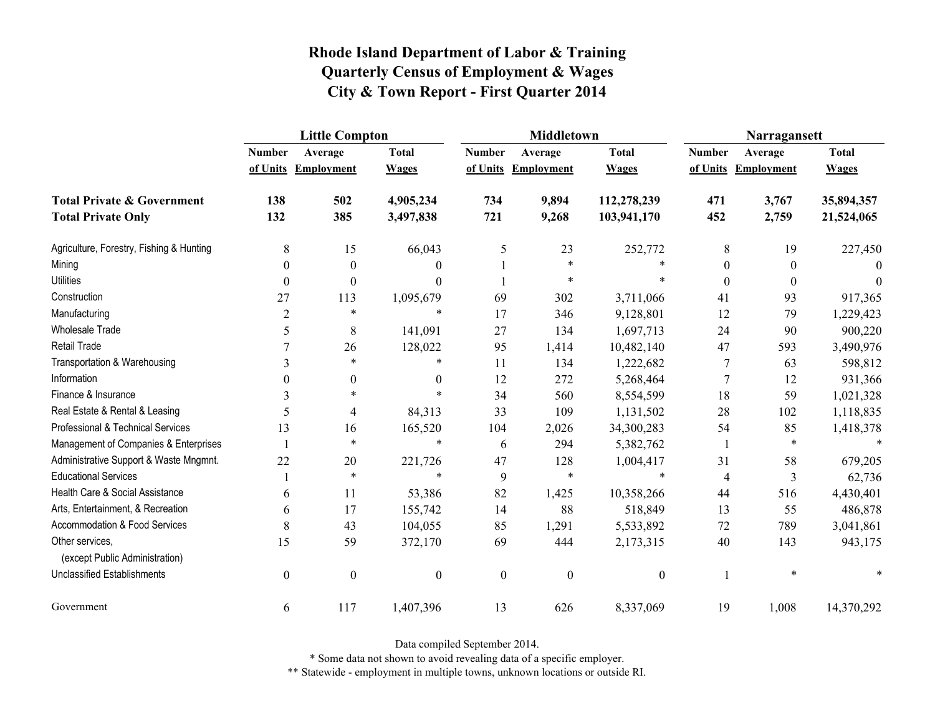|                                                   | <b>Little Compton</b> |                     |                  |                  | <b>Middletown</b>   |                  | Narragansett     |                     |              |
|---------------------------------------------------|-----------------------|---------------------|------------------|------------------|---------------------|------------------|------------------|---------------------|--------------|
|                                                   | <b>Number</b>         | Average             | <b>Total</b>     | <b>Number</b>    | Average             | <b>Total</b>     | <b>Number</b>    | Average             | <b>Total</b> |
|                                                   |                       | of Units Employment | <b>Wages</b>     |                  | of Units Employment | <b>Wages</b>     |                  | of Units Employment | <b>Wages</b> |
| <b>Total Private &amp; Government</b>             | 138                   | 502                 | 4,905,234        | 734              | 9,894               | 112,278,239      | 471              | 3,767               | 35,894,357   |
| <b>Total Private Only</b>                         | 132                   | 385                 | 3,497,838        | 721              | 9,268               | 103,941,170      | 452              | 2,759               | 21,524,065   |
| Agriculture, Forestry, Fishing & Hunting          | 8                     | 15                  | 66,043           | 5                | 23                  | 252,772          | 8                | 19                  | 227,450      |
| Mining                                            | $\theta$              | $\boldsymbol{0}$    | $\theta$         |                  | $\ast$              |                  | $\boldsymbol{0}$ | $\theta$            |              |
| <b>Utilities</b>                                  | $\theta$              | $\theta$            | $\Omega$         |                  | $\ast$              |                  | $\boldsymbol{0}$ | $\theta$            | $\theta$     |
| Construction                                      | 27                    | 113                 | 1,095,679        | 69               | 302                 | 3,711,066        | 41               | 93                  | 917,365      |
| Manufacturing                                     | $\overline{2}$        | $\ast$              | $\ast$           | 17               | 346                 | 9,128,801        | 12               | 79                  | 1,229,423    |
| <b>Wholesale Trade</b>                            | 5                     | 8                   | 141,091          | 27               | 134                 | 1,697,713        | 24               | 90                  | 900,220      |
| <b>Retail Trade</b>                               |                       | 26                  | 128,022          | 95               | 1,414               | 10,482,140       | 47               | 593                 | 3,490,976    |
| Transportation & Warehousing                      | $\overline{3}$        | $\ast$              | $\ast$           | 11               | 134                 | 1,222,682        | 7                | 63                  | 598,812      |
| Information                                       | 0                     | 0                   | $\theta$         | 12               | 272                 | 5,268,464        | 7                | 12                  | 931,366      |
| Finance & Insurance                               | 3                     | $\ast$              |                  | 34               | 560                 | 8,554,599        | 18               | 59                  | 1,021,328    |
| Real Estate & Rental & Leasing                    | 5                     | 4                   | 84,313           | 33               | 109                 | 1,131,502        | 28               | 102                 | 1,118,835    |
| Professional & Technical Services                 | 13                    | 16                  | 165,520          | 104              | 2,026               | 34,300,283       | 54               | 85                  | 1,418,378    |
| Management of Companies & Enterprises             |                       | $\ast$              | $\ast$           | 6                | 294                 | 5,382,762        |                  | $\ast$              | $\ast$       |
| Administrative Support & Waste Mngmnt.            | 22                    | 20                  | 221,726          | 47               | 128                 | 1,004,417        | 31               | 58                  | 679,205      |
| <b>Educational Services</b>                       |                       | $\ast$              | $\ast$           | 9                | $\ast$              | $\ast$           | 4                | 3                   | 62,736       |
| Health Care & Social Assistance                   | 6                     | 11                  | 53,386           | 82               | 1,425               | 10,358,266       | 44               | 516                 | 4,430,401    |
| Arts, Entertainment, & Recreation                 | 6                     | 17                  | 155,742          | 14               | 88                  | 518,849          | 13               | 55                  | 486,878      |
| <b>Accommodation &amp; Food Services</b>          | 8                     | 43                  | 104,055          | 85               | 1,291               | 5,533,892        | 72               | 789                 | 3,041,861    |
| Other services,<br>(except Public Administration) | 15                    | 59                  | 372,170          | 69               | 444                 | 2,173,315        | 40               | 143                 | 943,175      |
| <b>Unclassified Establishments</b>                | $\boldsymbol{0}$      | $\boldsymbol{0}$    | $\boldsymbol{0}$ | $\boldsymbol{0}$ | $\boldsymbol{0}$    | $\boldsymbol{0}$ |                  | $\ast$              |              |
| Government                                        | 6                     | 117                 | 1,407,396        | 13               | 626                 | 8,337,069        | 19               | 1,008               | 14,370,292   |

Data compiled September 2014.

\* Some data not shown to avoid revealing data of a specific employer.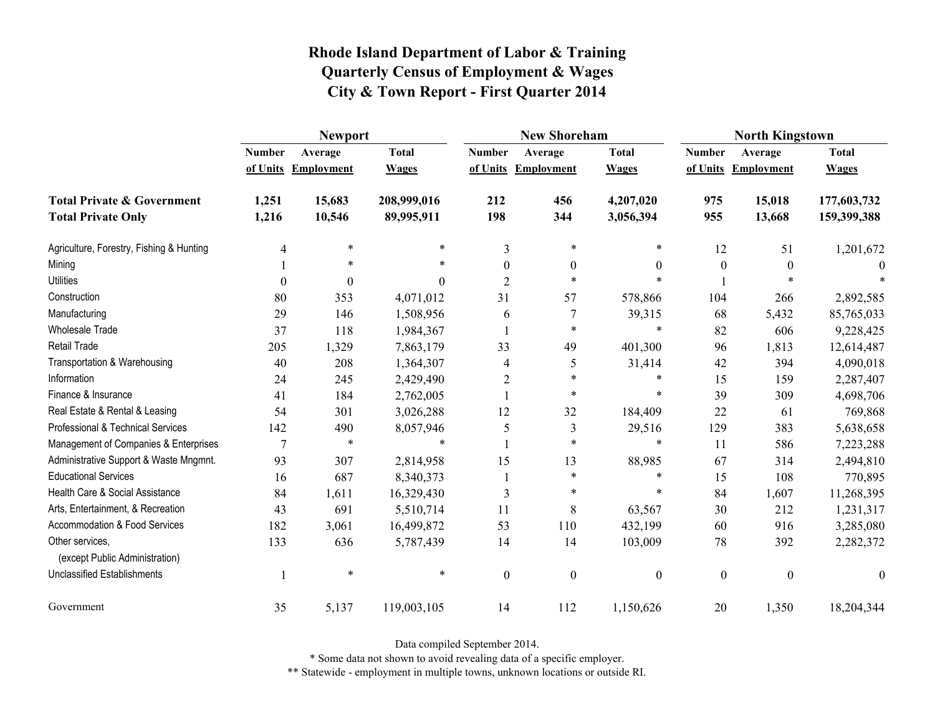|                                                   | <b>Newport</b>   |                     |              |                | <b>New Shoreham</b> |                  | <b>North Kingstown</b> |                     |                  |
|---------------------------------------------------|------------------|---------------------|--------------|----------------|---------------------|------------------|------------------------|---------------------|------------------|
|                                                   | <b>Number</b>    | Average             | <b>Total</b> | <b>Number</b>  | Average             | <b>Total</b>     | <b>Number</b>          | Average             | <b>Total</b>     |
|                                                   |                  | of Units Employment | <b>Wages</b> |                | of Units Employment | <b>Wages</b>     |                        | of Units Employment | <b>Wages</b>     |
| <b>Total Private &amp; Government</b>             | 1,251            | 15,683              | 208,999,016  | 212            | 456                 | 4,207,020        | 975                    | 15,018              | 177,603,732      |
| <b>Total Private Only</b>                         | 1,216            | 10,546              | 89,995,911   | 198            | 344                 | 3,056,394        | 955                    | 13,668              | 159,399,388      |
| Agriculture, Forestry, Fishing & Hunting          | 4                | $\ast$              | *            | 3              | $\ast$              | *                | 12                     | 51                  | 1,201,672        |
| Mining                                            |                  | *                   | *            | $\theta$       | $\boldsymbol{0}$    | $\theta$         | $\theta$               | $\theta$            |                  |
| <b>Utilities</b>                                  | $\boldsymbol{0}$ | $\Omega$            | 0            | $\overline{2}$ | $\ast$              | $\ast$           |                        |                     |                  |
| Construction                                      | 80               | 353                 | 4,071,012    | 31             | 57                  | 578,866          | 104                    | 266                 | 2,892,585        |
| Manufacturing                                     | 29               | 146                 | 1,508,956    | 6              | 7                   | 39,315           | 68                     | 5,432               | 85,765,033       |
| <b>Wholesale Trade</b>                            | 37               | 118                 | 1,984,367    |                | $\ast$              | $\ast$           | 82                     | 606                 | 9,228,425        |
| <b>Retail Trade</b>                               | 205              | 1,329               | 7,863,179    | 33             | 49                  | 401,300          | 96                     | 1,813               | 12,614,487       |
| Transportation & Warehousing                      | 40               | 208                 | 1,364,307    | 4              | 5                   | 31,414           | 42                     | 394                 | 4,090,018        |
| Information                                       | 24               | 245                 | 2,429,490    | $\overline{2}$ | $\ast$              | $\ast$           | 15                     | 159                 | 2,287,407        |
| Finance & Insurance                               | 41               | 184                 | 2,762,005    |                | $\ast$              | $\ast$           | 39                     | 309                 | 4,698,706        |
| Real Estate & Rental & Leasing                    | 54               | 301                 | 3,026,288    | 12             | 32                  | 184,409          | 22                     | 61                  | 769,868          |
| Professional & Technical Services                 | 142              | 490                 | 8,057,946    | 5              | 3                   | 29,516           | 129                    | 383                 | 5,638,658        |
| Management of Companies & Enterprises             | 7                | $\ast$              | $\ast$       |                | $\ast$              | $\ast$           | 11                     | 586                 | 7,223,288        |
| Administrative Support & Waste Mngmnt.            | 93               | 307                 | 2,814,958    | 15             | 13                  | 88,985           | 67                     | 314                 | 2,494,810        |
| <b>Educational Services</b>                       | 16               | 687                 | 8,340,373    |                | $\ast$              | *                | 15                     | 108                 | 770,895          |
| Health Care & Social Assistance                   | 84               | 1,611               | 16,329,430   | 3              | $\ast$              | $\ast$           | 84                     | 1,607               | 11,268,395       |
| Arts, Entertainment, & Recreation                 | 43               | 691                 | 5,510,714    | 11             | 8                   | 63,567           | 30                     | 212                 | 1,231,317        |
| Accommodation & Food Services                     | 182              | 3,061               | 16,499,872   | 53             | 110                 | 432,199          | 60                     | 916                 | 3,285,080        |
| Other services,<br>(except Public Administration) | 133              | 636                 | 5,787,439    | 14             | 14                  | 103,009          | 78                     | 392                 | 2,282,372        |
| Unclassified Establishments                       |                  | $\ast$              | $\ast$       | $\mathbf{0}$   | $\boldsymbol{0}$    | $\boldsymbol{0}$ | $\boldsymbol{0}$       | $\mathbf{0}$        | $\boldsymbol{0}$ |
| Government                                        | 35               | 5,137               | 119,003,105  | 14             | 112                 | 1,150,626        | 20                     | 1,350               | 18,204,344       |

Data compiled September 2014.

\* Some data not shown to avoid revealing data of a specific employer.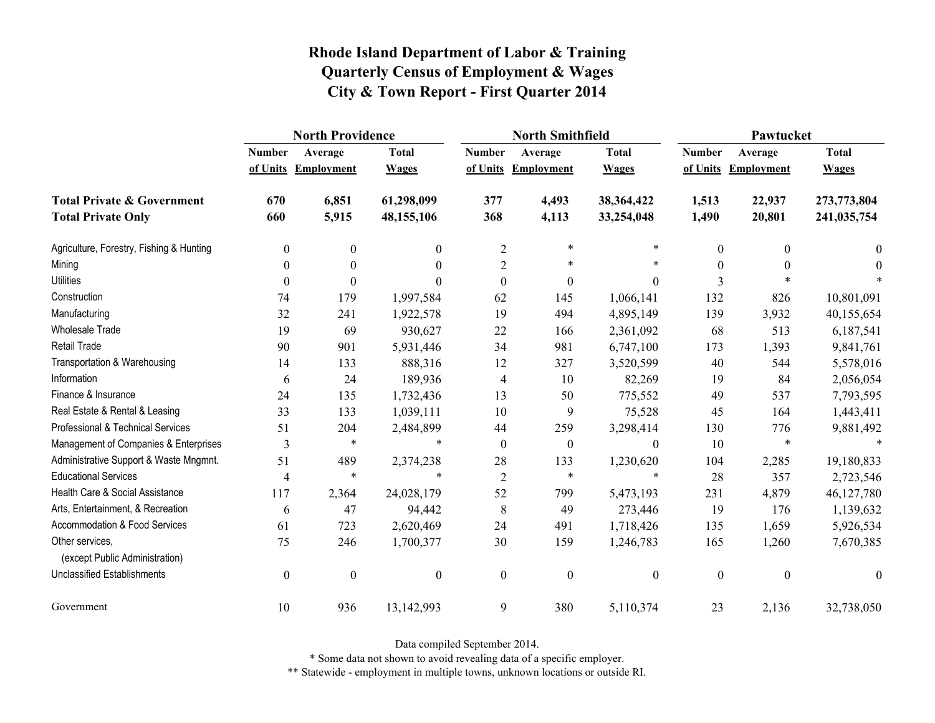|                                                   | <b>North Providence</b> |                     |                  |                  | <b>North Smithfield</b> |                  | Pawtucket        |                     |              |
|---------------------------------------------------|-------------------------|---------------------|------------------|------------------|-------------------------|------------------|------------------|---------------------|--------------|
|                                                   | <b>Number</b>           | Average             | <b>Total</b>     | <b>Number</b>    | Average                 | <b>Total</b>     | <b>Number</b>    | Average             | <b>Total</b> |
|                                                   |                         | of Units Employment | <b>Wages</b>     |                  | of Units Employment     | <b>Wages</b>     |                  | of Units Employment | <b>Wages</b> |
| <b>Total Private &amp; Government</b>             | 670                     | 6,851               | 61,298,099       | 377              | 4,493                   | 38,364,422       | 1,513            | 22,937              | 273,773,804  |
| <b>Total Private Only</b>                         | 660                     | 5,915               | 48,155,106       | 368              | 4,113                   | 33,254,048       | 1,490            | 20,801              | 241,035,754  |
| Agriculture, Forestry, Fishing & Hunting          | $\boldsymbol{0}$        | 0                   | $\mathbf{0}$     | $\overline{2}$   | $\ast$                  | $\ast$           | $\theta$         | $\theta$            | $\bf{0}$     |
| Mining                                            | $\boldsymbol{0}$        | $\theta$            | $\theta$         | $\overline{2}$   | $\ast$                  | $\ast$           | $\theta$         | $\theta$            | $\theta$     |
| <b>Utilities</b>                                  | $\theta$                | $\theta$            | $\Omega$         | $\boldsymbol{0}$ | $\boldsymbol{0}$        | $\overline{0}$   | 3                |                     |              |
| Construction                                      | 74                      | 179                 | 1,997,584        | 62               | 145                     | 1,066,141        | 132              | 826                 | 10,801,091   |
| Manufacturing                                     | 32                      | 241                 | 1,922,578        | 19               | 494                     | 4,895,149        | 139              | 3,932               | 40,155,654   |
| <b>Wholesale Trade</b>                            | 19                      | 69                  | 930,627          | 22               | 166                     | 2,361,092        | 68               | 513                 | 6,187,541    |
| <b>Retail Trade</b>                               | 90                      | 901                 | 5,931,446        | 34               | 981                     | 6,747,100        | 173              | 1,393               | 9,841,761    |
| Transportation & Warehousing                      | 14                      | 133                 | 888,316          | 12               | 327                     | 3,520,599        | 40               | 544                 | 5,578,016    |
| Information                                       | 6                       | 24                  | 189,936          | 4                | 10                      | 82,269           | 19               | 84                  | 2,056,054    |
| Finance & Insurance                               | 24                      | 135                 | 1,732,436        | 13               | 50                      | 775,552          | 49               | 537                 | 7,793,595    |
| Real Estate & Rental & Leasing                    | 33                      | 133                 | 1,039,111        | 10               | 9                       | 75,528           | 45               | 164                 | 1,443,411    |
| Professional & Technical Services                 | 51                      | 204                 | 2,484,899        | 44               | 259                     | 3,298,414        | 130              | 776                 | 9,881,492    |
| Management of Companies & Enterprises             | 3                       | $\ast$              | $\ast$           | $\boldsymbol{0}$ | $\boldsymbol{0}$        | $\boldsymbol{0}$ | 10               | $\ast$              | $\ast$       |
| Administrative Support & Waste Mngmnt.            | 51                      | 489                 | 2,374,238        | 28               | 133                     | 1,230,620        | 104              | 2,285               | 19,180,833   |
| <b>Educational Services</b>                       | $\overline{4}$          | $\ast$              | $\ast$           | $\overline{2}$   | $\ast$                  | $\ast$           | 28               | 357                 | 2,723,546    |
| Health Care & Social Assistance                   | 117                     | 2,364               | 24,028,179       | 52               | 799                     | 5,473,193        | 231              | 4,879               | 46,127,780   |
| Arts, Entertainment, & Recreation                 | 6                       | 47                  | 94,442           | 8                | 49                      | 273,446          | 19               | 176                 | 1,139,632    |
| <b>Accommodation &amp; Food Services</b>          | 61                      | 723                 | 2,620,469        | 24               | 491                     | 1,718,426        | 135              | 1,659               | 5,926,534    |
| Other services,<br>(except Public Administration) | 75                      | 246                 | 1,700,377        | 30               | 159                     | 1,246,783        | 165              | 1,260               | 7,670,385    |
| <b>Unclassified Establishments</b>                | $\boldsymbol{0}$        | $\boldsymbol{0}$    | $\boldsymbol{0}$ | $\boldsymbol{0}$ | $\boldsymbol{0}$        | $\boldsymbol{0}$ | $\boldsymbol{0}$ | $\boldsymbol{0}$    | $\theta$     |
| Government                                        | 10                      | 936                 | 13,142,993       | 9                | 380                     | 5,110,374        | 23               | 2,136               | 32,738,050   |

Data compiled September 2014.

\* Some data not shown to avoid revealing data of a specific employer.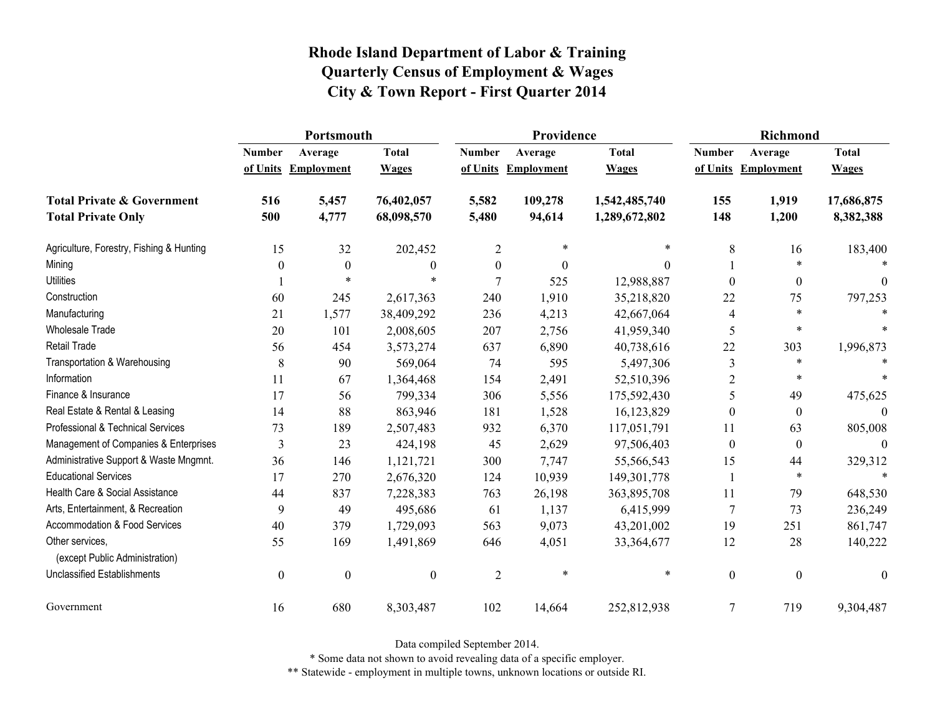|                                                   | Portsmouth       |                  |                  |                  | Providence        |               | <b>Richmond</b>  |                   |                  |
|---------------------------------------------------|------------------|------------------|------------------|------------------|-------------------|---------------|------------------|-------------------|------------------|
|                                                   | <b>Number</b>    | Average          | <b>Total</b>     | <b>Number</b>    | Average           | <b>Total</b>  | <b>Number</b>    | Average           | <b>Total</b>     |
|                                                   | of Units         | Employment       | <b>Wages</b>     | of Units         | <b>Employment</b> | <b>Wages</b>  | of Units         | <b>Employment</b> | <b>Wages</b>     |
| <b>Total Private &amp; Government</b>             | 516              | 5,457            | 76,402,057       | 5,582            | 109,278           | 1,542,485,740 | 155              | 1,919             | 17,686,875       |
| <b>Total Private Only</b>                         | 500              | 4,777            | 68,098,570       | 5,480            | 94,614            | 1,289,672,802 | 148              | 1,200             | 8,382,388        |
| Agriculture, Forestry, Fishing & Hunting          | 15               | 32               | 202,452          | 2                | *                 | $\ast$        | 8                | 16                | 183,400          |
| Mining                                            | 0                | $\boldsymbol{0}$ | $\boldsymbol{0}$ | $\boldsymbol{0}$ | $\boldsymbol{0}$  | 0             |                  | $\ast$            |                  |
| <b>Utilities</b>                                  |                  | $\ast$           |                  | $\overline{7}$   | 525               | 12,988,887    | $\Omega$         | $\boldsymbol{0}$  | $\Omega$         |
| Construction                                      | 60               | 245              | 2,617,363        | 240              | 1,910             | 35,218,820    | 22               | 75                | 797,253          |
| Manufacturing                                     | 21               | 1,577            | 38,409,292       | 236              | 4,213             | 42,667,064    | 4                | $\ast$            | $\ast$           |
| <b>Wholesale Trade</b>                            | 20               | 101              | 2,008,605        | 207              | 2,756             | 41,959,340    | 5                | $\ast$            | $\ast$           |
| <b>Retail Trade</b>                               | 56               | 454              | 3,573,274        | 637              | 6,890             | 40,738,616    | 22               | 303               | 1,996,873        |
| Transportation & Warehousing                      | 8                | 90               | 569,064          | 74               | 595               | 5,497,306     | 3                | *                 |                  |
| Information                                       | 11               | 67               | 1,364,468        | 154              | 2,491             | 52,510,396    | $\overline{2}$   | $\ast$            | $\ast$           |
| Finance & Insurance                               | 17               | 56               | 799,334          | 306              | 5,556             | 175,592,430   | 5                | 49                | 475,625          |
| Real Estate & Rental & Leasing                    | 14               | 88               | 863,946          | 181              | 1,528             | 16,123,829    | $\theta$         | $\theta$          |                  |
| Professional & Technical Services                 | 73               | 189              | 2,507,483        | 932              | 6,370             | 117,051,791   | 11               | 63                | 805,008          |
| Management of Companies & Enterprises             | 3                | 23               | 424,198          | 45               | 2,629             | 97,506,403    | $\theta$         | $\boldsymbol{0}$  | $\theta$         |
| Administrative Support & Waste Mngmnt.            | 36               | 146              | 1,121,721        | 300              | 7,747             | 55,566,543    | 15               | 44                | 329,312          |
| <b>Educational Services</b>                       | 17               | 270              | 2,676,320        | 124              | 10,939            | 149,301,778   |                  | *                 | $\ast$           |
| Health Care & Social Assistance                   | 44               | 837              | 7,228,383        | 763              | 26,198            | 363,895,708   | 11               | 79                | 648,530          |
| Arts, Entertainment, & Recreation                 | 9                | 49               | 495,686          | 61               | 1,137             | 6,415,999     | 7                | 73                | 236,249          |
| Accommodation & Food Services                     | 40               | 379              | 1,729,093        | 563              | 9,073             | 43,201,002    | 19               | 251               | 861,747          |
| Other services,<br>(except Public Administration) | 55               | 169              | 1,491,869        | 646              | 4,051             | 33,364,677    | 12               | 28                | 140,222          |
| <b>Unclassified Establishments</b>                | $\boldsymbol{0}$ | $\boldsymbol{0}$ | $\boldsymbol{0}$ | $\overline{2}$   | $\ast$            | $\ast$        | $\boldsymbol{0}$ | $\boldsymbol{0}$  | $\boldsymbol{0}$ |
| Government                                        | 16               | 680              | 8,303,487        | 102              | 14,664            | 252,812,938   | 7                | 719               | 9,304,487        |

Data compiled September 2014.

\* Some data not shown to avoid revealing data of a specific employer.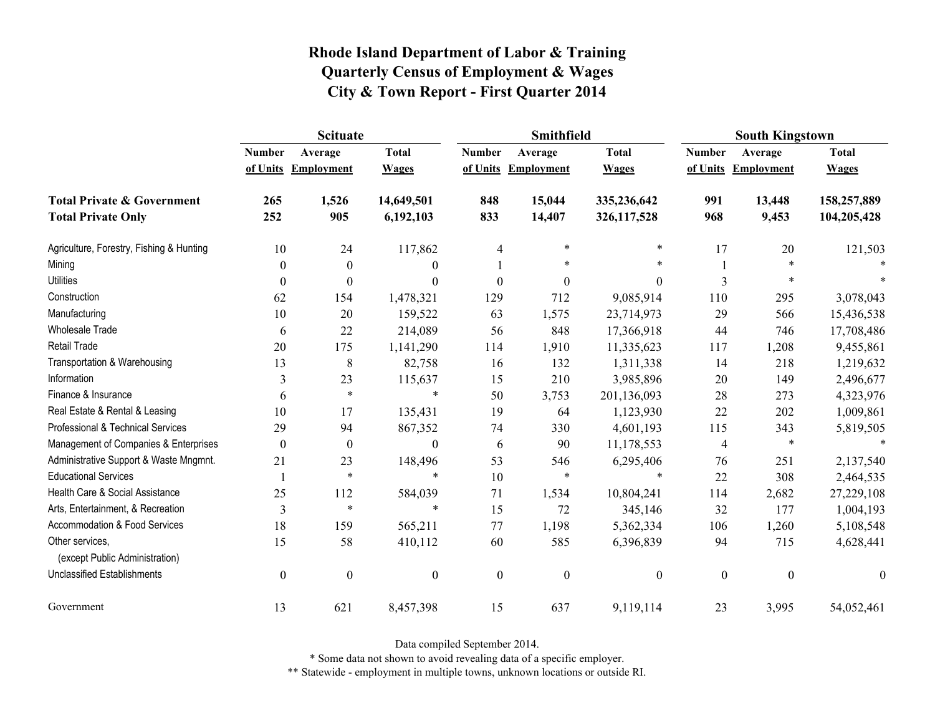|                                                   | <b>Scituate</b>  |                     |                  |                  | Smithfield        |                  | <b>South Kingstown</b> |                     |                  |
|---------------------------------------------------|------------------|---------------------|------------------|------------------|-------------------|------------------|------------------------|---------------------|------------------|
|                                                   | <b>Number</b>    | Average             | <b>Total</b>     | <b>Number</b>    | Average           | <b>Total</b>     | <b>Number</b>          | Average             | <b>Total</b>     |
|                                                   |                  | of Units Employment | <b>Wages</b>     | of Units         | <b>Employment</b> | <b>Wages</b>     |                        | of Units Employment | <b>Wages</b>     |
| <b>Total Private &amp; Government</b>             | 265              | 1,526               | 14,649,501       | 848              | 15,044            | 335,236,642      | 991                    | 13,448              | 158,257,889      |
| <b>Total Private Only</b>                         | 252              | 905                 | 6,192,103        | 833              | 14,407            | 326,117,528      | 968                    | 9,453               | 104,205,428      |
| Agriculture, Forestry, Fishing & Hunting          | 10               | 24                  | 117,862          | 4                | $\ast$            | $\ast$           | 17                     | 20                  | 121,503          |
| Mining                                            | $\theta$         | $\mathbf{0}$        | $\theta$         |                  | *                 | $\ast$           |                        | *                   |                  |
| <b>Utilities</b>                                  | $\theta$         | $\theta$            | $\boldsymbol{0}$ | $\boldsymbol{0}$ | $\boldsymbol{0}$  | $\boldsymbol{0}$ | 3                      | $\ast$              |                  |
| Construction                                      | 62               | 154                 | 1,478,321        | 129              | 712               | 9,085,914        | 110                    | 295                 | 3,078,043        |
| Manufacturing                                     | 10               | 20                  | 159,522          | 63               | 1,575             | 23,714,973       | 29                     | 566                 | 15,436,538       |
| Wholesale Trade                                   | 6                | 22                  | 214,089          | 56               | 848               | 17,366,918       | 44                     | 746                 | 17,708,486       |
| Retail Trade                                      | 20               | 175                 | 1,141,290        | 114              | 1,910             | 11,335,623       | 117                    | 1,208               | 9,455,861        |
| Transportation & Warehousing                      | 13               | 8                   | 82,758           | 16               | 132               | 1,311,338        | 14                     | 218                 | 1,219,632        |
| Information                                       | 3                | 23                  | 115,637          | 15               | 210               | 3,985,896        | 20                     | 149                 | 2,496,677        |
| Finance & Insurance                               | 6                | $\ast$              | $\ast$           | 50               | 3,753             | 201,136,093      | 28                     | 273                 | 4,323,976        |
| Real Estate & Rental & Leasing                    | 10               | 17                  | 135,431          | 19               | 64                | 1,123,930        | 22                     | 202                 | 1,009,861        |
| Professional & Technical Services                 | 29               | 94                  | 867,352          | 74               | 330               | 4,601,193        | 115                    | 343                 | 5,819,505        |
| Management of Companies & Enterprises             | $\theta$         | $\theta$            | $\boldsymbol{0}$ | 6                | 90                | 11,178,553       | 4                      | $\ast$              | $\ast$           |
| Administrative Support & Waste Mngmnt.            | 21               | 23                  | 148,496          | 53               | 546               | 6,295,406        | 76                     | 251                 | 2,137,540        |
| <b>Educational Services</b>                       |                  | $\ast$              | $\ast$           | 10               | $\ast$            | $\ast$           | 22                     | 308                 | 2,464,535        |
| Health Care & Social Assistance                   | 25               | 112                 | 584,039          | 71               | 1,534             | 10,804,241       | 114                    | 2,682               | 27,229,108       |
| Arts, Entertainment, & Recreation                 | 3                | $\ast$              | $\ast$           | 15               | 72                | 345,146          | 32                     | 177                 | 1,004,193        |
| Accommodation & Food Services                     | 18               | 159                 | 565,211          | 77               | 1,198             | 5,362,334        | 106                    | 1,260               | 5,108,548        |
| Other services,<br>(except Public Administration) | 15               | 58                  | 410,112          | 60               | 585               | 6,396,839        | 94                     | 715                 | 4,628,441        |
| <b>Unclassified Establishments</b>                | $\boldsymbol{0}$ | $\boldsymbol{0}$    | $\boldsymbol{0}$ | $\boldsymbol{0}$ | $\boldsymbol{0}$  | $\boldsymbol{0}$ | $\boldsymbol{0}$       | $\boldsymbol{0}$    | $\boldsymbol{0}$ |
| Government                                        | 13               | 621                 | 8,457,398        | 15               | 637               | 9,119,114        | 23                     | 3,995               | 54,052,461       |

Data compiled September 2014.

\* Some data not shown to avoid revealing data of a specific employer.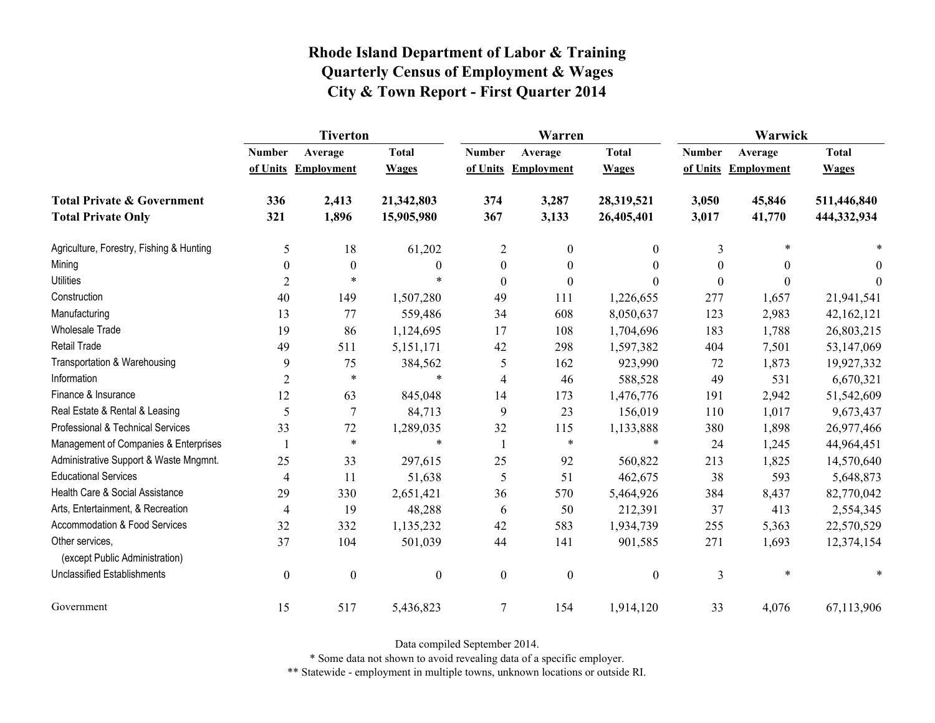|                                                   | <b>Tiverton</b>  |                   |                  |                  | Warren              |                  | Warwick       |                   |              |
|---------------------------------------------------|------------------|-------------------|------------------|------------------|---------------------|------------------|---------------|-------------------|--------------|
|                                                   | <b>Number</b>    | Average           | <b>Total</b>     | <b>Number</b>    | Average             | <b>Total</b>     | <b>Number</b> | Average           | <b>Total</b> |
|                                                   | of Units         | <b>Employment</b> | <b>Wages</b>     |                  | of Units Employment | <b>Wages</b>     | of Units      | <b>Employment</b> | <b>Wages</b> |
| <b>Total Private &amp; Government</b>             | 336              | 2,413             | 21,342,803       | 374              | 3,287               | 28,319,521       | 3,050         | 45,846            | 511,446,840  |
| <b>Total Private Only</b>                         | 321              | 1,896             | 15,905,980       | 367              | 3,133               | 26,405,401       | 3,017         | 41,770            | 444,332,934  |
| Agriculture, Forestry, Fishing & Hunting          | 5                | 18                | 61,202           | $\overline{c}$   | $\boldsymbol{0}$    | $\boldsymbol{0}$ | 3             | $\ast$            |              |
| Mining                                            | $\boldsymbol{0}$ | $\boldsymbol{0}$  | $\mathbf{0}$     | $\boldsymbol{0}$ | $\boldsymbol{0}$    | $\boldsymbol{0}$ | 0             | $\theta$          | $\theta$     |
| <b>Utilities</b>                                  | 2                | $\ast$            | $\ast$           | $\boldsymbol{0}$ | $\boldsymbol{0}$    | $\theta$         | $\Omega$      | $\theta$          | $\theta$     |
| Construction                                      | 40               | 149               | 1,507,280        | 49               | 111                 | 1,226,655        | 277           | 1,657             | 21,941,541   |
| Manufacturing                                     | 13               | 77                | 559,486          | 34               | 608                 | 8,050,637        | 123           | 2,983             | 42,162,121   |
| <b>Wholesale Trade</b>                            | 19               | 86                | 1,124,695        | 17               | 108                 | 1,704,696        | 183           | 1,788             | 26,803,215   |
| <b>Retail Trade</b>                               | 49               | 511               | 5,151,171        | 42               | 298                 | 1,597,382        | 404           | 7,501             | 53,147,069   |
| Transportation & Warehousing                      | 9                | 75                | 384,562          | 5                | 162                 | 923,990          | 72            | 1,873             | 19,927,332   |
| Information                                       | $\overline{2}$   | $\ast$            | $\ast$           | $\overline{4}$   | 46                  | 588,528          | 49            | 531               | 6,670,321    |
| Finance & Insurance                               | 12               | 63                | 845,048          | 14               | 173                 | 1,476,776        | 191           | 2,942             | 51,542,609   |
| Real Estate & Rental & Leasing                    | 5                | 7                 | 84,713           | 9                | 23                  | 156,019          | 110           | 1,017             | 9,673,437    |
| Professional & Technical Services                 | 33               | 72                | 1,289,035        | 32               | 115                 | 1,133,888        | 380           | 1,898             | 26,977,466   |
| Management of Companies & Enterprises             |                  | $\ast$            | $\ast$           | $\mathbf{1}$     | $\ast$              | $\ast$           | 24            | 1,245             | 44,964,451   |
| Administrative Support & Waste Mngmnt.            | 25               | 33                | 297,615          | 25               | 92                  | 560,822          | 213           | 1,825             | 14,570,640   |
| <b>Educational Services</b>                       | $\overline{4}$   | 11                | 51,638           | 5                | 51                  | 462,675          | 38            | 593               | 5,648,873    |
| Health Care & Social Assistance                   | 29               | 330               | 2,651,421        | 36               | 570                 | 5,464,926        | 384           | 8,437             | 82,770,042   |
| Arts, Entertainment, & Recreation                 | $\overline{4}$   | 19                | 48,288           | 6                | 50                  | 212,391          | 37            | 413               | 2,554,345    |
| <b>Accommodation &amp; Food Services</b>          | 32               | 332               | 1,135,232        | 42               | 583                 | 1,934,739        | 255           | 5,363             | 22,570,529   |
| Other services,<br>(except Public Administration) | 37               | 104               | 501,039          | 44               | 141                 | 901,585          | 271           | 1,693             | 12,374,154   |
| <b>Unclassified Establishments</b>                | $\boldsymbol{0}$ | $\boldsymbol{0}$  | $\boldsymbol{0}$ | $\boldsymbol{0}$ | $\boldsymbol{0}$    | $\boldsymbol{0}$ | 3             | $\ast$            |              |
| Government                                        | 15               | 517               | 5,436,823        | $\tau$           | 154                 | 1,914,120        | 33            | 4,076             | 67,113,906   |

Data compiled September 2014.

\* Some data not shown to avoid revealing data of a specific employer.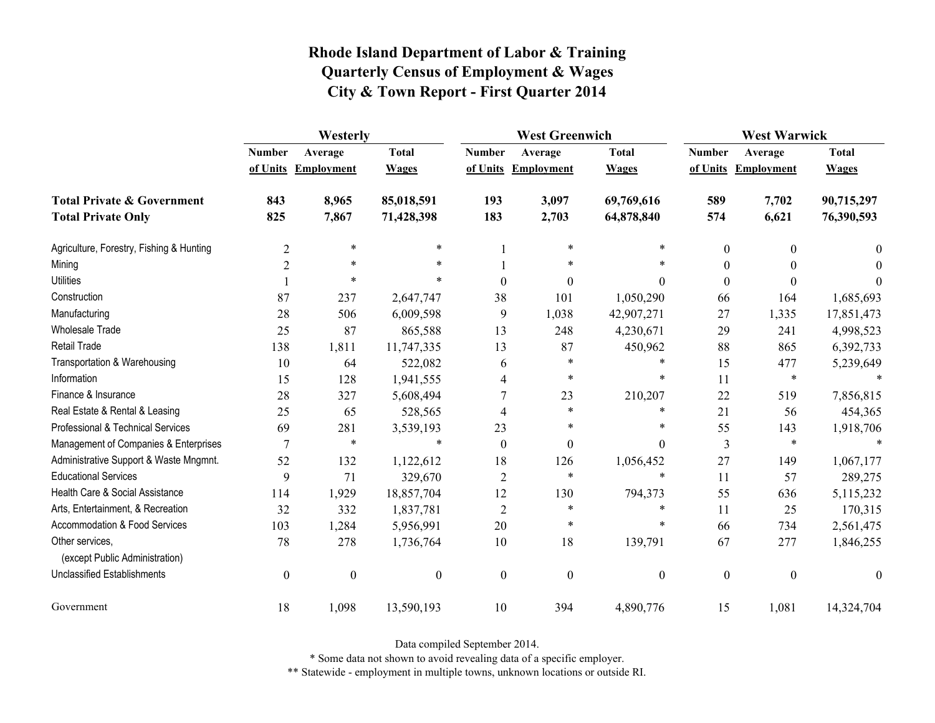|                                                   | Westerly         |                  |                  |                  | <b>West Greenwich</b> |                  |                  | <b>West Warwick</b> |              |  |
|---------------------------------------------------|------------------|------------------|------------------|------------------|-----------------------|------------------|------------------|---------------------|--------------|--|
|                                                   | <b>Number</b>    | Average          | <b>Total</b>     | <b>Number</b>    | Average               | <b>Total</b>     | <b>Number</b>    | Average             | <b>Total</b> |  |
|                                                   | of Units         | Employment       | <b>Wages</b>     |                  | of Units Employment   | <b>Wages</b>     |                  | of Units Employment | <b>Wages</b> |  |
| <b>Total Private &amp; Government</b>             | 843              | 8,965            | 85,018,591       | 193              | 3,097                 | 69,769,616       | 589              | 7,702               | 90,715,297   |  |
| <b>Total Private Only</b>                         | 825              | 7,867            | 71,428,398       | 183              | 2,703                 | 64,878,840       | 574              | 6,621               | 76,390,593   |  |
| Agriculture, Forestry, Fishing & Hunting          | $\overline{2}$   | $\ast$           | $\ast$           |                  | $\ast$                |                  | $\boldsymbol{0}$ | $\Omega$            | $\theta$     |  |
| Mining                                            | $\overline{2}$   | $\ast$           |                  |                  | *                     |                  | $\theta$         |                     | $\Omega$     |  |
| <b>Utilities</b>                                  |                  | $\ast$           | $\ast$           | $\theta$         | $\boldsymbol{0}$      | $\theta$         | $\boldsymbol{0}$ | $\Omega$            | $\Omega$     |  |
| Construction                                      | 87               | 237              | 2,647,747        | 38               | 101                   | 1,050,290        | 66               | 164                 | 1,685,693    |  |
| Manufacturing                                     | 28               | 506              | 6,009,598        | 9                | 1,038                 | 42,907,271       | 27               | 1,335               | 17,851,473   |  |
| <b>Wholesale Trade</b>                            | 25               | 87               | 865,588          | 13               | 248                   | 4,230,671        | 29               | 241                 | 4,998,523    |  |
| Retail Trade                                      | 138              | 1,811            | 11,747,335       | 13               | 87                    | 450,962          | 88               | 865                 | 6,392,733    |  |
| Transportation & Warehousing                      | 10               | 64               | 522,082          | 6                | *                     | $\ast$           | 15               | 477                 | 5,239,649    |  |
| Information                                       | 15               | 128              | 1,941,555        | 4                | $\ast$                | $\ast$           | 11               | $\ast$              |              |  |
| Finance & Insurance                               | 28               | 327              | 5,608,494        | 7                | 23                    | 210,207          | 22               | 519                 | 7,856,815    |  |
| Real Estate & Rental & Leasing                    | 25               | 65               | 528,565          | $\overline{4}$   | $\ast$                | $\ast$           | 21               | 56                  | 454,365      |  |
| Professional & Technical Services                 | 69               | 281              | 3,539,193        | 23               | *                     | $\ast$           | 55               | 143                 | 1,918,706    |  |
| Management of Companies & Enterprises             | 7                | $\ast$           | $\ast$           | $\boldsymbol{0}$ | $\mathbf{0}$          | $\theta$         | 3                | $\ast$              |              |  |
| Administrative Support & Waste Mngmnt.            | 52               | 132              | 1,122,612        | 18               | 126                   | 1,056,452        | 27               | 149                 | 1,067,177    |  |
| <b>Educational Services</b>                       | 9                | 71               | 329,670          | $\overline{2}$   | $\ast$                | $\ast$           | 11               | 57                  | 289,275      |  |
| Health Care & Social Assistance                   | 114              | 1,929            | 18,857,704       | 12               | 130                   | 794,373          | 55               | 636                 | 5,115,232    |  |
| Arts, Entertainment, & Recreation                 | 32               | 332              | 1,837,781        | $\overline{2}$   | $\ast$                | $\ast$           | 11               | 25                  | 170,315      |  |
| Accommodation & Food Services                     | 103              | 1,284            | 5,956,991        | 20               | $\ast$                | $\ast$           | 66               | 734                 | 2,561,475    |  |
| Other services.<br>(except Public Administration) | 78               | 278              | 1,736,764        | 10               | 18                    | 139,791          | 67               | 277                 | 1,846,255    |  |
| <b>Unclassified Establishments</b>                | $\boldsymbol{0}$ | $\boldsymbol{0}$ | $\boldsymbol{0}$ | $\boldsymbol{0}$ | $\boldsymbol{0}$      | $\boldsymbol{0}$ | $\boldsymbol{0}$ | $\boldsymbol{0}$    | $\theta$     |  |
| Government                                        | 18               | 1,098            | 13,590,193       | 10               | 394                   | 4,890,776        | 15               | 1,081               | 14,324,704   |  |

Data compiled September 2014.

\* Some data not shown to avoid revealing data of a specific employer.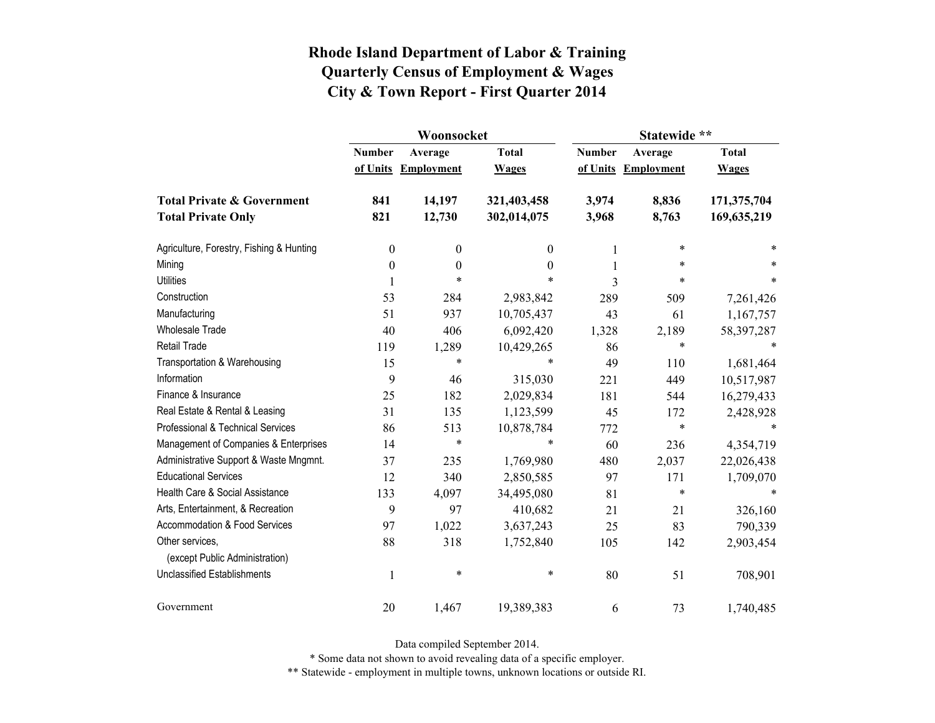|                                          |                  | Woonsocket        |              | Statewide **  |                   |              |  |
|------------------------------------------|------------------|-------------------|--------------|---------------|-------------------|--------------|--|
|                                          | <b>Number</b>    | Average           | <b>Total</b> | <b>Number</b> | Average           | <b>Total</b> |  |
|                                          | of Units         | <b>Employment</b> | <b>Wages</b> | of Units      | <b>Employment</b> | <b>Wages</b> |  |
| <b>Total Private &amp; Government</b>    | 841              | 14,197            | 321,403,458  | 3,974         | 8,836             | 171,375,704  |  |
| <b>Total Private Only</b>                | 821              | 12,730            | 302,014,075  | 3,968         | 8,763             | 169,635,219  |  |
| Agriculture, Forestry, Fishing & Hunting | $\boldsymbol{0}$ | $\boldsymbol{0}$  | 0            | 1             | $\ast$            |              |  |
| Mining                                   | $\boldsymbol{0}$ | $\boldsymbol{0}$  | $\theta$     | 1             | *                 |              |  |
| <b>Utilities</b>                         | $\mathbf{1}$     | $\ast$            | $\ast$       | 3             | $\ast$            | $\ast$       |  |
| Construction                             | 53               | 284               | 2,983,842    | 289           | 509               | 7,261,426    |  |
| Manufacturing                            | 51               | 937               | 10,705,437   | 43            | 61                | 1,167,757    |  |
| <b>Wholesale Trade</b>                   | 40               | 406               | 6,092,420    | 1,328         | 2,189             | 58, 397, 287 |  |
| Retail Trade                             | 119              | 1,289             | 10,429,265   | 86            | $\ast$            |              |  |
| Transportation & Warehousing             | 15               | $\ast$            | *            | 49            | 110               | 1,681,464    |  |
| Information                              | 9                | 46                | 315,030      | 221           | 449               | 10,517,987   |  |
| Finance & Insurance                      | 25               | 182               | 2,029,834    | 181           | 544               | 16,279,433   |  |
| Real Estate & Rental & Leasing           | 31               | 135               | 1,123,599    | 45            | 172               | 2,428,928    |  |
| Professional & Technical Services        | 86               | 513               | 10,878,784   | 772           | $\ast$            |              |  |
| Management of Companies & Enterprises    | 14               | $\ast$            | $\ast$       | 60            | 236               | 4,354,719    |  |
| Administrative Support & Waste Mngmnt.   | 37               | 235               | 1,769,980    | 480           | 2,037             | 22,026,438   |  |
| <b>Educational Services</b>              | 12               | 340               | 2,850,585    | 97            | 171               | 1,709,070    |  |
| Health Care & Social Assistance          | 133              | 4,097             | 34,495,080   | 81            | $\ast$            |              |  |
| Arts, Entertainment, & Recreation        | 9                | 97                | 410,682      | 21            | 21                | 326,160      |  |
| Accommodation & Food Services            | 97               | 1,022             | 3,637,243    | 25            | 83                | 790,339      |  |
| Other services,                          | 88               | 318               | 1,752,840    | 105           | 142               | 2,903,454    |  |
| (except Public Administration)           |                  |                   |              |               |                   |              |  |
| <b>Unclassified Establishments</b>       | $\mathbf{1}$     | $\ast$            | $\ast$       | 80            | 51                | 708,901      |  |
| Government                               | 20               | 1,467             | 19,389,383   | 6             | 73                | 1,740,485    |  |

Data compiled September 2014.

\* Some data not shown to avoid revealing data of a specific employer.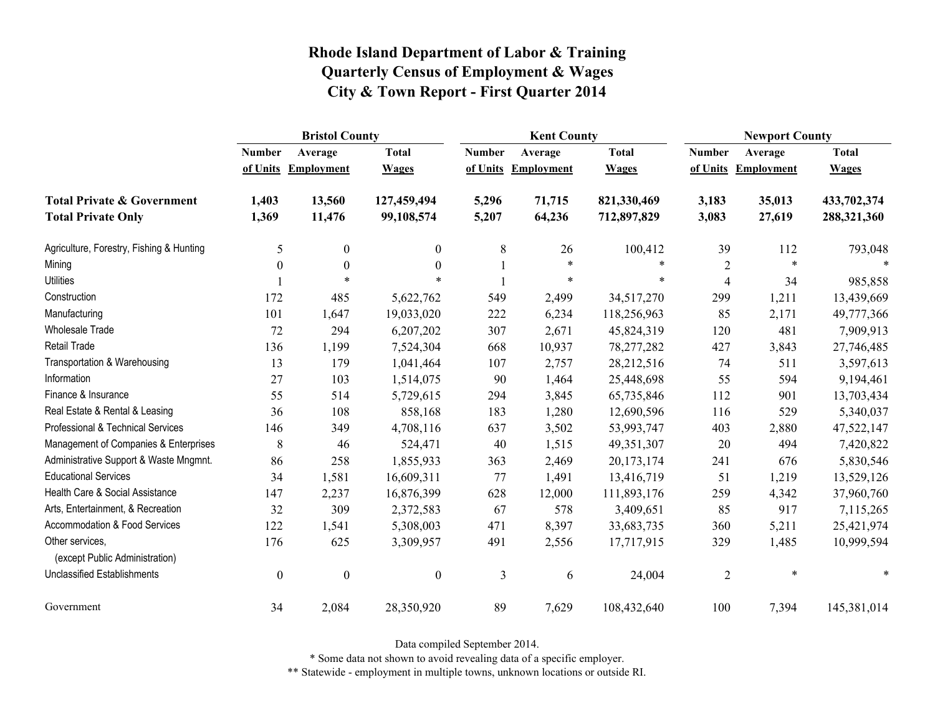|                                                   | <b>Bristol County</b> |                   |                  |               | <b>Kent County</b> |              |                | <b>Newport County</b> |              |  |
|---------------------------------------------------|-----------------------|-------------------|------------------|---------------|--------------------|--------------|----------------|-----------------------|--------------|--|
|                                                   | <b>Number</b>         | Average           | <b>Total</b>     | <b>Number</b> | Average            | <b>Total</b> | <b>Number</b>  | Average               | <b>Total</b> |  |
|                                                   | of Units              | <b>Employment</b> | <b>Wages</b>     | of Units      | <b>Employment</b>  | <b>Wages</b> | of Units       | <b>Employment</b>     | <b>Wages</b> |  |
| <b>Total Private &amp; Government</b>             | 1,403                 | 13,560            | 127,459,494      | 5,296         | 71,715             | 821,330,469  | 3,183          | 35,013                | 433,702,374  |  |
| <b>Total Private Only</b>                         | 1,369                 | 11,476            | 99,108,574       | 5,207         | 64,236             | 712,897,829  | 3,083          | 27,619                | 288,321,360  |  |
| Agriculture, Forestry, Fishing & Hunting          | 5                     | $\mathbf{0}$      | $\mathbf{0}$     | 8             | 26                 | 100,412      | 39             | 112                   | 793,048      |  |
| Mining                                            | $\boldsymbol{0}$      | $\boldsymbol{0}$  | $\boldsymbol{0}$ |               | $\ast$             | $\ast$       | $\sqrt{2}$     |                       |              |  |
| <b>Utilities</b>                                  |                       | $\ast$            | $\ast$           |               | $\ast$             | *            | $\overline{4}$ | 34                    | 985,858      |  |
| Construction                                      | 172                   | 485               | 5,622,762        | 549           | 2,499              | 34,517,270   | 299            | 1,211                 | 13,439,669   |  |
| Manufacturing                                     | 101                   | 1,647             | 19,033,020       | 222           | 6,234              | 118,256,963  | 85             | 2,171                 | 49,777,366   |  |
| Wholesale Trade                                   | 72                    | 294               | 6,207,202        | 307           | 2,671              | 45,824,319   | 120            | 481                   | 7,909,913    |  |
| <b>Retail Trade</b>                               | 136                   | 1,199             | 7,524,304        | 668           | 10,937             | 78, 277, 282 | 427            | 3,843                 | 27,746,485   |  |
| Transportation & Warehousing                      | 13                    | 179               | 1,041,464        | 107           | 2,757              | 28,212,516   | 74             | 511                   | 3,597,613    |  |
| Information                                       | 27                    | 103               | 1,514,075        | 90            | 1,464              | 25,448,698   | 55             | 594                   | 9,194,461    |  |
| Finance & Insurance                               | 55                    | 514               | 5,729,615        | 294           | 3,845              | 65,735,846   | 112            | 901                   | 13,703,434   |  |
| Real Estate & Rental & Leasing                    | 36                    | 108               | 858,168          | 183           | 1,280              | 12,690,596   | 116            | 529                   | 5,340,037    |  |
| Professional & Technical Services                 | 146                   | 349               | 4,708,116        | 637           | 3,502              | 53,993,747   | 403            | 2,880                 | 47,522,147   |  |
| Management of Companies & Enterprises             | 8                     | 46                | 524,471          | 40            | 1,515              | 49,351,307   | 20             | 494                   | 7,420,822    |  |
| Administrative Support & Waste Mngmnt.            | 86                    | 258               | 1,855,933        | 363           | 2,469              | 20,173,174   | 241            | 676                   | 5,830,546    |  |
| <b>Educational Services</b>                       | 34                    | 1,581             | 16,609,311       | 77            | 1,491              | 13,416,719   | 51             | 1,219                 | 13,529,126   |  |
| Health Care & Social Assistance                   | 147                   | 2,237             | 16,876,399       | 628           | 12,000             | 111,893,176  | 259            | 4,342                 | 37,960,760   |  |
| Arts, Entertainment, & Recreation                 | 32                    | 309               | 2,372,583        | 67            | 578                | 3,409,651    | 85             | 917                   | 7,115,265    |  |
| Accommodation & Food Services                     | 122                   | 1,541             | 5,308,003        | 471           | 8,397              | 33,683,735   | 360            | 5,211                 | 25,421,974   |  |
| Other services,<br>(except Public Administration) | 176                   | 625               | 3,309,957        | 491           | 2,556              | 17,717,915   | 329            | 1,485                 | 10,999,594   |  |
| <b>Unclassified Establishments</b>                | $\boldsymbol{0}$      | $\boldsymbol{0}$  | $\boldsymbol{0}$ | 3             | 6                  | 24,004       | $\overline{2}$ | $\ast$                | $\ast$       |  |
| Government                                        | 34                    | 2,084             | 28,350,920       | 89            | 7,629              | 108,432,640  | 100            | 7,394                 | 145,381,014  |  |

Data compiled September 2014.

\* Some data not shown to avoid revealing data of a specific employer.